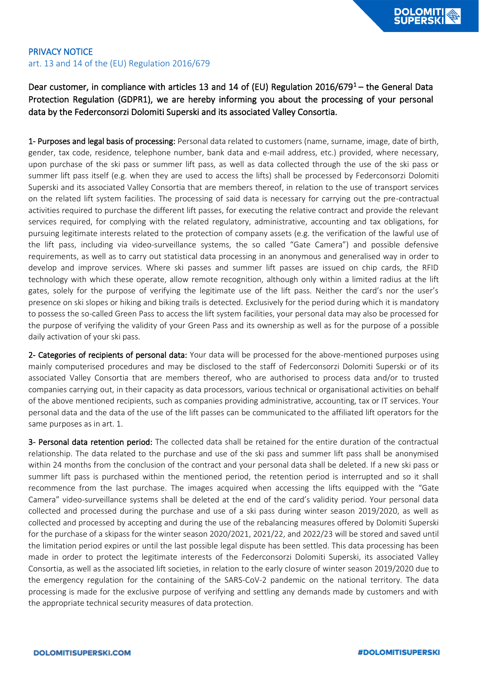## PRIVACY NOTICE art. 13 and 14 of the (EU) Regulation 2016/679

## Dear customer, in compliance with articles 13 and 14 of (EU) Regulation 2016/679<sup>1</sup> – the General Data Protection Regulation (GDPR1), we are hereby informing you about the processing of your personal data by the Federconsorzi Dolomiti Superski and its associated Valley Consortia.

1- Purposes and legal basis of processing: Personal data related to customers (name, surname, image, date of birth, gender, tax code, residence, telephone number, bank data and e-mail address, etc.) provided, where necessary, upon purchase of the ski pass or summer lift pass, as well as data collected through the use of the ski pass or summer lift pass itself (e.g. when they are used to access the lifts) shall be processed by Federconsorzi Dolomiti Superski and its associated Valley Consortia that are members thereof, in relation to the use of transport services on the related lift system facilities. The processing of said data is necessary for carrying out the pre-contractual activities required to purchase the different lift passes, for executing the relative contract and provide the relevant services required, for complying with the related regulatory, administrative, accounting and tax obligations, for pursuing legitimate interests related to the protection of company assets (e.g. the verification of the lawful use of the lift pass, including via video-surveillance systems, the so called "Gate Camera") and possible defensive requirements, as well as to carry out statistical data processing in an anonymous and generalised way in order to develop and improve services. Where ski passes and summer lift passes are issued on chip cards, the RFID technology with which these operate, allow remote recognition, although only within a limited radius at the lift gates, solely for the purpose of verifying the legitimate use of the lift pass. Neither the card's nor the user's presence on ski slopes or hiking and biking trails is detected. Exclusively for the period during which it is mandatory to possess the so-called Green Pass to access the lift system facilities, your personal data may also be processed for the purpose of verifying the validity of your Green Pass and its ownership as well as for the purpose of a possible daily activation of your ski pass.

2- Categories of recipients of personal data: Your data will be processed for the above-mentioned purposes using mainly computerised procedures and may be disclosed to the staff of Federconsorzi Dolomiti Superski or of its associated Valley Consortia that are members thereof, who are authorised to process data and/or to trusted companies carrying out, in their capacity as data processors, various technical or organisational activities on behalf of the above mentioned recipients, such as companies providing administrative, accounting, tax or IT services. Your personal data and the data of the use of the lift passes can be communicated to the affiliated lift operators for the same purposes as in art. 1.

3- Personal data retention period: The collected data shall be retained for the entire duration of the contractual relationship. The data related to the purchase and use of the ski pass and summer lift pass shall be anonymised within 24 months from the conclusion of the contract and your personal data shall be deleted. If a new ski pass or summer lift pass is purchased within the mentioned period, the retention period is interrupted and so it shall recommence from the last purchase. The images acquired when accessing the lifts equipped with the "Gate Camera" video-surveillance systems shall be deleted at the end of the card's validity period. Your personal data collected and processed during the purchase and use of a ski pass during winter season 2019/2020, as well as collected and processed by accepting and during the use of the rebalancing measures offered by Dolomiti Superski for the purchase of a skipass for the winter season 2020/2021, 2021/22, and 2022/23 will be stored and saved until the limitation period expires or until the last possible legal dispute has been settled. This data processing has been made in order to protect the legitimate interests of the Federconsorzi Dolomiti Superski, its associated Valley Consortia, as well as the associated lift societies, in relation to the early closure of winter season 2019/2020 due to the emergency regulation for the containing of the SARS-CoV-2 pandemic on the national territory. The data processing is made for the exclusive purpose of verifying and settling any demands made by customers and with the appropriate technical security measures of data protection.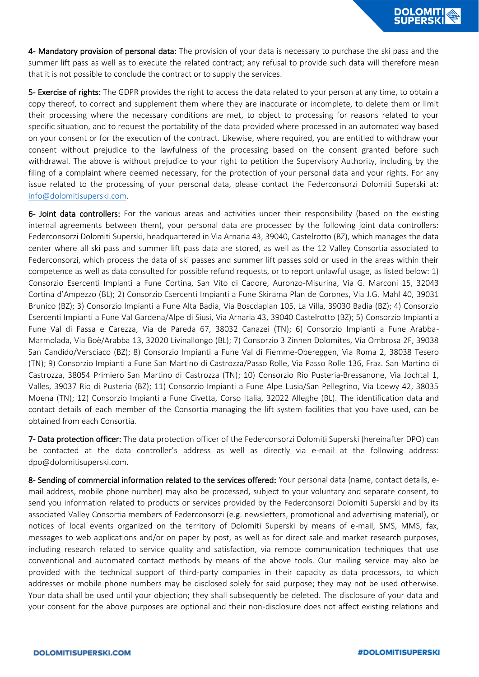4- Mandatory provision of personal data: The provision of your data is necessary to purchase the ski pass and the summer lift pass as well as to execute the related contract; any refusal to provide such data will therefore mean that it is not possible to conclude the contract or to supply the services.

5- Exercise of rights: The GDPR provides the right to access the data related to your person at any time, to obtain a copy thereof, to correct and supplement them where they are inaccurate or incomplete, to delete them or limit their processing where the necessary conditions are met, to object to processing for reasons related to your specific situation, and to request the portability of the data provided where processed in an automated way based on your consent or for the execution of the contract. Likewise, where required, you are entitled to withdraw your consent without prejudice to the lawfulness of the processing based on the consent granted before such withdrawal. The above is without prejudice to your right to petition the Supervisory Authority, including by the filing of a complaint where deemed necessary, for the protection of your personal data and your rights. For any issue related to the processing of your personal data, please contact the Federconsorzi Dolomiti Superski at: [info@dolomitisuperski.com.](mailto:info@dolomitisuperski.com)

6- Joint data controllers: For the various areas and activities under their responsibility (based on the existing internal agreements between them), your personal data are processed by the following joint data controllers: Federconsorzi Dolomiti Superski, headquartered in Via Arnaria 43, 39040, Castelrotto (BZ), which manages the data center where all ski pass and summer lift pass data are stored, as well as the 12 Valley Consortia associated to Federconsorzi, which process the data of ski passes and summer lift passes sold or used in the areas within their competence as well as data consulted for possible refund requests, or to report unlawful usage, as listed below: 1) Consorzio Esercenti Impianti a Fune Cortina, San Vito di Cadore, Auronzo-Misurina, Via G. Marconi 15, 32043 Cortina d'Ampezzo (BL); 2) Consorzio Esercenti Impianti a Fune Skirama Plan de Corones, Via J.G. Mahl 40, 39031 Brunico (BZ); 3) Consorzio Impianti a Fune Alta Badia, Via Boscdaplan 105, La Villa, 39030 Badia (BZ); 4) Consorzio Esercenti Impianti a Fune Val Gardena/Alpe di Siusi, Via Arnaria 43, 39040 Castelrotto (BZ); 5) Consorzio Impianti a Fune Val di Fassa e Carezza, Via de Pareda 67, 38032 Canazei (TN); 6) Consorzio Impianti a Fune Arabba-Marmolada, Via Boè/Arabba 13, 32020 Livinallongo (BL); 7) Consorzio 3 Zinnen Dolomites, Via Ombrosa 2F, 39038 San Candido/Versciaco (BZ); 8) Consorzio Impianti a Fune Val di Fiemme-Obereggen, Via Roma 2, 38038 Tesero (TN); 9) Consorzio Impianti a Fune San Martino di Castrozza/Passo Rolle, Via Passo Rolle 136, Fraz. San Martino di Castrozza, 38054 Primiero San Martino di Castrozza (TN); 10) Consorzio Rio Pusteria-Bressanone, Via Jochtal 1, Valles, 39037 Rio di Pusteria (BZ); 11) Consorzio Impianti a Fune Alpe Lusia/San Pellegrino, Via Loewy 42, 38035 Moena (TN); 12) Consorzio Impianti a Fune Civetta, Corso Italia, 32022 Alleghe (BL). The identification data and contact details of each member of the Consortia managing the lift system facilities that you have used, can be obtained from each Consortia.

7- Data protection officer: The data protection officer of the Federconsorzi Dolomiti Superski (hereinafter DPO) can be contacted at the data controller's address as well as directly via e-mail at the following address: dpo@dolomitisuperski.com.

8- Sending of commercial information related to the services offered: Your personal data (name, contact details, email address, mobile phone number) may also be processed, subject to your voluntary and separate consent, to send you information related to products or services provided by the Federconsorzi Dolomiti Superski and by its associated Valley Consortia members of Federconsorzi (e.g. newsletters, promotional and advertising material), or notices of local events organized on the territory of Dolomiti Superski by means of e-mail, SMS, MMS, fax, messages to web applications and/or on paper by post, as well as for direct sale and market research purposes, including research related to service quality and satisfaction, via remote communication techniques that use conventional and automated contact methods by means of the above tools. Our mailing service may also be provided with the technical support of third-party companies in their capacity as data processors, to which addresses or mobile phone numbers may be disclosed solely for said purpose; they may not be used otherwise. Your data shall be used until your objection; they shall subsequently be deleted. The disclosure of your data and your consent for the above purposes are optional and their non-disclosure does not affect existing relations and